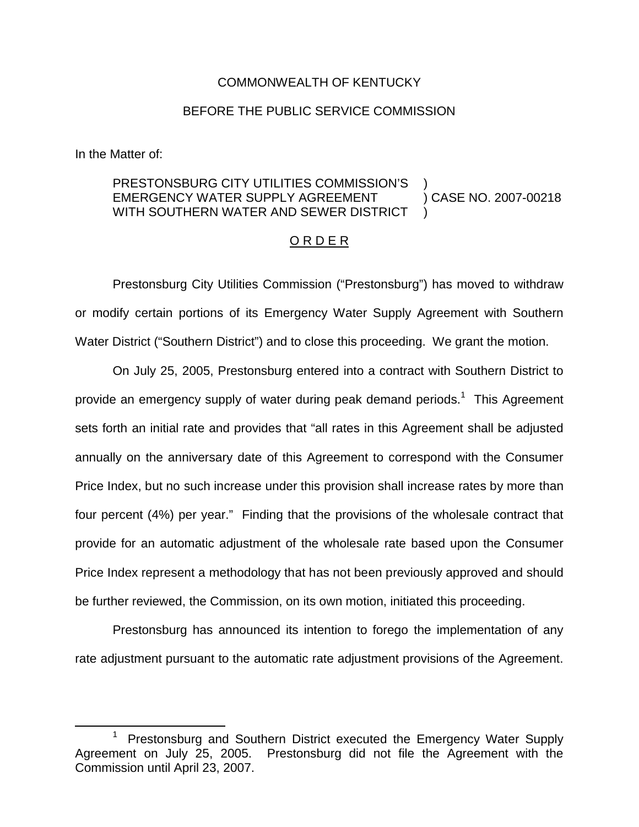## COMMONWEALTH OF KENTUCKY

## BEFORE THE PUBLIC SERVICE COMMISSION

In the Matter of:

## PRESTONSBURG CITY UTILITIES COMMISSION'S EMERGENCY WATER SUPPLY AGREEMENT WITH SOUTHERN WATER AND SEWER DISTRICT ) ) CASE NO. 2007-00218 )

## O R D E R

Prestonsburg City Utilities Commission ("Prestonsburg") has moved to withdraw or modify certain portions of its Emergency Water Supply Agreement with Southern Water District ("Southern District") and to close this proceeding. We grant the motion.

On July 25, 2005, Prestonsburg entered into a contract with Southern District to provide an emergency supply of water during peak demand periods.<sup>1</sup> This Agreement sets forth an initial rate and provides that "all rates in this Agreement shall be adjusted annually on the anniversary date of this Agreement to correspond with the Consumer Price Index, but no such increase under this provision shall increase rates by more than four percent (4%) per year." Finding that the provisions of the wholesale contract that provide for an automatic adjustment of the wholesale rate based upon the Consumer Price Index represent a methodology that has not been previously approved and should be further reviewed, the Commission, on its own motion, initiated this proceeding.

Prestonsburg has announced its intention to forego the implementation of any rate adjustment pursuant to the automatic rate adjustment provisions of the Agreement.

<sup>&</sup>lt;sup>1</sup> Prestonsburg and Southern District executed the Emergency Water Supply Agreement on July 25, 2005. Prestonsburg did not file the Agreement with the Commission until April 23, 2007.